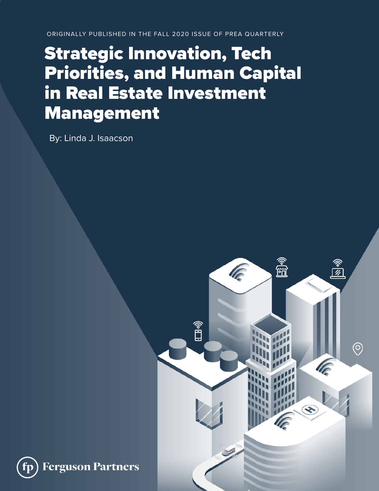ORIGINALLY PUBLISHED IN THE FALL 2020 ISSUE OF PREA QUARTERLY

# Strategic Innovation, Tech Priorities, and Human Capital in Real Estate Investment Management

By: Linda J. Isaacson

**Ferguson Partners** 

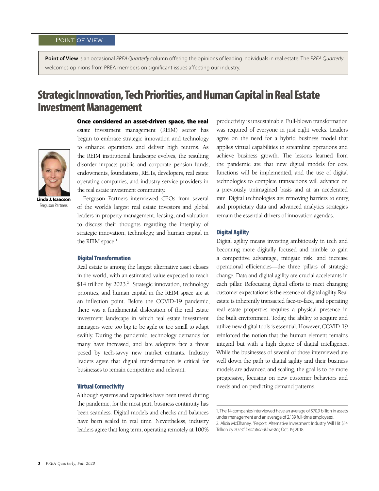Point of View is an occasional PREA Quarterly column offering the opinions of leading individuals in real estate. The PREA Quarterly welcomes opinions from PREA members on significant issues affecting our industry.

# Strategic Innovation, Tech Priorities, and Human Capital in Real Estate Investment Management



**Linda J. Isaacson** Ferguson Partners

Once considered an asset-driven space, the real estate investment management (REIM) sector has begun to embrace strategic innovation and technology to enhance operations and deliver high returns. As the REIM institutional landscape evolves, the resulting disorder impacts public and corporate pension funds, endowments, foundations, REITs, developers, real estate operating companies, and industry service providers in the real estate investment community.

Ferguson Partners interviewed CEOs from several of the world's largest real estate investors and global leaders in property management, leasing, and valuation to discuss their thoughts regarding the interplay of strategic innovation, technology, and human capital in the REIM space.<sup>1</sup>

#### Digital Transformation

Real estate is among the largest alternative asset classes in the world, with an estimated value expected to reach \$14 trillion by 2023.<sup>2</sup> Strategic innovation, technology priorities, and human capital in the REIM space are at an inflection point. Before the COVID-19 pandemic, there was a fundamental dislocation of the real estate investment landscape in which real estate investment managers were too big to be agile or too small to adapt swiftly. During the pandemic, technology demands for many have increased, and late adopters face a threat posed by tech-savvy new market entrants. Industry leaders agree that digital transformation is critical for businesses to remain competitive and relevant.

#### Virtual Connectivity

Although systems and capacities have been tested during the pandemic, for the most part, business continuity has been seamless. Digital models and checks and balances have been scaled in real time. Nevertheless, industry leaders agree that long term, operating remotely at 100%

productivity is unsustainable. Full-blown transformation was required of everyone in just eight weeks. Leaders agree on the need for a hybrid business model that applies virtual capabilities to streamline operations and achieve business growth. The lessons learned from the pandemic are that new digital models for core functions will be implemented, and the use of digital technologies to complete transactions will advance on a previously unimagined basis and at an accelerated rate. Digital technologies are removing barriers to entry, and proprietary data and advanced analytics strategies remain the essential drivers of innovation agendas.

#### Digital Agility

Digital agility means investing ambitiously in tech and becoming more digitally focused and nimble to gain a competitive advantage, mitigate risk, and increase operational efficiencies—the three pillars of strategic change. Data and digital agility are crucial accelerants in each pillar. Refocusing digital efforts to meet changing customer expectations is the essence of digital agility. Real estate is inherently transacted face-to-face, and operating real estate properties requires a physical presence in the built environment. Today, the ability to acquire and utilize new digital tools is essential. However, COVID-19 reinforced the notion that the human element remains integral but with a high degree of digital intelligence. While the businesses of several of those interviewed are well down the path to digital agility and their business models are advanced and scaling, the goal is to be more progressive, focusing on new customer behaviors and needs and on predicting demand patterns.

<sup>1.</sup> The 14 companies interviewed have an average of \$70.9 billion in assets under management and an average of 2,139 full-time employees.

<sup>2.</sup> Alicia McElhaney, "Report: Alternative Investment Industry Will Hit \$14 Trillion by 2023," Institutional Investor, Oct. 19, 2018.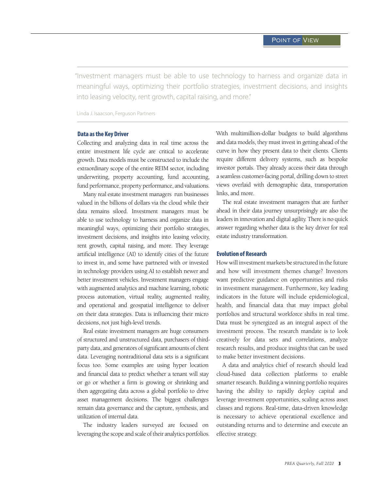"Investment managers must be able to use technology to harness and organize data in meaningful ways, optimizing their portfolio strategies, investment decisions, and insights into leasing velocity, rent growth, capital raising, and more."

Linda J. Isaacson, Ferguson Partners

#### Data as the Key Driver

Collecting and analyzing data in real time across the entire investment life cycle are critical to accelerate growth. Data models must be constructed to include the extraordinary scope of the entire REIM sector, including underwriting, property accounting, fund accounting, fund performance, property performance, and valuations.

Many real estate investment managers run businesses valued in the billions of dollars via the cloud while their data remains siloed. Investment managers must be able to use technology to harness and organize data in meaningful ways, optimizing their portfolio strategies, investment decisions, and insights into leasing velocity, rent growth, capital raising, and more. They leverage artificial intelligence (AI) to identify cities of the future to invest in, and some have partnered with or invested in technology providers using AI to establish newer and better investment vehicles. Investment managers engage with augmented analytics and machine learning, robotic process automation, virtual reality, augmented reality, and operational and geospatial intelligence to deliver on their data strategies. Data is influencing their micro decisions, not just high-level trends.

Real estate investment managers are huge consumers of structured and unstructured data, purchasers of thirdparty data, and generators of significant amounts of client data. Leveraging nontraditional data sets is a significant focus too. Some examples are using hyper location and financial data to predict whether a tenant will stay or go or whether a firm is growing or shrinking and then aggregating data across a global portfolio to drive asset management decisions. The biggest challenges remain data governance and the capture, synthesis, and utilization of internal data.

The industry leaders surveyed are focused on leveraging the scope and scale of their analytics portfolios. With multimillion-dollar budgets to build algorithms and data models, they must invest in getting ahead of the curve in how they present data to their clients. Clients require different delivery systems, such as bespoke investor portals. They already access their data through a seamless customer-facing portal, drilling down to street views overlaid with demographic data, transportation links, and more.

The real estate investment managers that are further ahead in their data journey unsurprisingly are also the leaders in innovation and digital agility. There is no quick answer regarding whether data is the key driver for real estate industry transformation.

#### Evolution of Research

How will investment markets be structured in the future and how will investment themes change? Investors want predictive guidance on opportunities and risks in investment management. Furthermore, key leading indicators in the future will include epidemiological, health, and financial data that may impact global portfolios and structural workforce shifts in real time. Data must be synergized as an integral aspect of the investment process. The research mandate is to look creatively for data sets and correlations, analyze research results, and produce insights that can be used to make better investment decisions.

A data and analytics chief of research should lead cloud-based data collection platforms to enable smarter research. Building a winning portfolio requires having the ability to rapidly deploy capital and leverage investment opportunities, scaling across asset classes and regions. Real-time, data-driven knowledge is necessary to achieve operational excellence and outstanding returns and to determine and execute an effective strategy.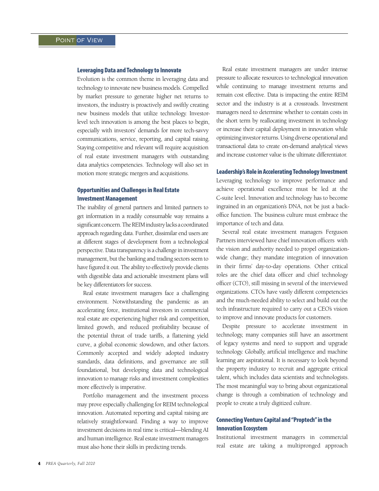#### Leveraging Data and Technology to Innovate

Evolution is the common theme in leveraging data and technology to innovate new business models. Compelled by market pressure to generate higher net returns to investors, the industry is proactively and swiftly creating new business models that utilize technology. Investorlevel tech innovation is among the best places to begin, especially with investors' demands for more tech-savvy communications, service, reporting, and capital raising. Staying competitive and relevant will require acquisition of real estate investment managers with outstanding data analytics competencies. Technology will also set in motion more strategic mergers and acquisitions.

### Opportunities and Challenges in Real Estate Investment Management

The inability of general partners and limited partners to get information in a readily consumable way remains a significant concern. The REIM industry lacks a coordinated approach regarding data. Further, dissimilar end users are at different stages of development from a technological perspective. Data transparency is a challenge in investment management, but the banking and trading sectors seem to have figured it out. The ability to effectively provide clients with digestible data and actionable investment plans will be key differentiators for success.

Real estate investment managers face a challenging environment. Notwithstanding the pandemic as an accelerating force, institutional investors in commercial real estate are experiencing higher risk and competition, limited growth, and reduced profitability because of the potential threat of trade tariffs, a flattening yield curve, a global economic slowdown, and other factors. Commonly accepted and widely adopted industry standards, data definitions, and governance are still foundational, but developing data and technological innovation to manage risks and investment complexities more effectively is imperative.

Portfolio management and the investment process may prove especially challenging for REIM technological innovation. Automated reporting and capital raising are relatively straightforward. Finding a way to improve investment decisions in real time is critical—blending AI and human intelligence. Real estate investment managers must also hone their skills in predicting trends.

Real estate investment managers are under intense pressure to allocate resources to technological innovation while continuing to manage investment returns and remain cost effective. Data is impacting the entire REIM sector and the industry is at a crossroads. Investment managers need to determine whether to contain costs in the short term by reallocating investment in technology or increase their capital deployment in innovation while optimizing investor returns. Using diverse operational and transactional data to create on-demand analytical views and increase customer value is the ultimate differentiator.

#### Leadership's Role in Accelerating Technology Investment

Leveraging technology to improve performance and achieve operational excellence must be led at the C-suite level. Innovation and technology has to become ingrained in an organization's DNA, not be just a backoffice function. The business culture must embrace the importance of tech and data.

Several real estate investment managers Ferguson Partners interviewed have chief innovation officers with the vision and authority needed to propel organizationwide change; they mandate integration of innovation in their firms' day-to-day operations. Other critical roles are the chief data officer and chief technology officer (CTO), still missing in several of the interviewed organizations. CTOs have vastly different competencies and the much-needed ability to select and build out the tech infrastructure required to carry out a CEO's vision to improve and innovate products for customers.

Despite pressure to accelerate investment in technology, many companies still have an assortment of legacy systems and need to support and upgrade technology. Globally, artificial intelligence and machine learning are aspirational. It is necessary to look beyond the property industry to recruit and aggregate critical talent, which includes data scientists and technologists. The most meaningful way to bring about organizational change is through a combination of technology and people to create a truly digitized culture.

## Connecting Venture Capital and "Proptech" in the Innovation Ecosystem

Institutional investment managers in commercial real estate are taking a multipronged approach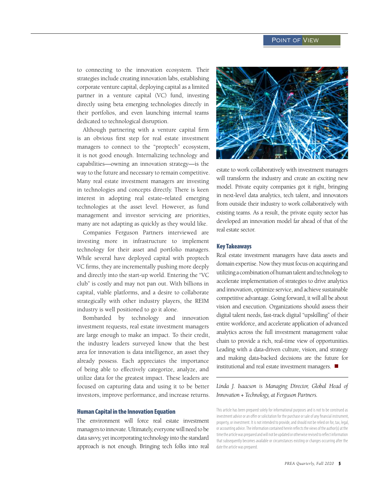to connecting to the innovation ecosystem. Their strategies include creating innovation labs, establishing corporate venture capital, deploying capital as a limited partner in a venture capital (VC) fund, investing directly using beta emerging technologies directly in their portfolios, and even launching internal teams dedicated to technological disruption.

Although partnering with a venture capital firm is an obvious first step for real estate investment managers to connect to the "proptech" ecosystem, it is not good enough. Internalizing technology and capabilities—owning an innovation strategy—is the way to the future and necessary to remain competitive. Many real estate investment managers are investing in technologies and concepts directly. There is keen interest in adopting real estate–related emerging technologies at the asset level. However, as fund management and investor servicing are priorities, many are not adapting as quickly as they would like.

Companies Ferguson Partners interviewed are investing more in infrastructure to implement technology for their asset and portfolio managers. While several have deployed capital with proptech VC firms, they are incrementally pushing more deeply and directly into the start-up world. Entering the "VC club" is costly and may not pan out. With billions in capital, viable platforms, and a desire to collaborate strategically with other industry players, the REIM industry is well positioned to go it alone.

Bombarded by technology and innovation investment requests, real estate investment managers are large enough to make an impact. To their credit, the industry leaders surveyed know that the best area for innovation is data intelligence, an asset they already possess. Each appreciates the importance of being able to effectively categorize, analyze, and utilize data for the greatest impact. These leaders are focused on capturing data and using it to be better investors, improve performance, and increase returns.

#### Human Capital in the Innovation Equation

The environment will force real estate investment managers to innovate. Ultimately, everyone will need to be data savvy, yet incorporating technology into the standard approach is not enough. Bringing tech folks into real



estate to work collaboratively with investment managers will transform the industry and create an exciting new model. Private equity companies got it right, bringing in next-level data analytics, tech talent, and innovators from outside their industry to work collaboratively with existing teams. As a result, the private equity sector has developed an innovation model far ahead of that of the real estate sector.

#### Key Takeaways

Real estate investment managers have data assets and domain expertise. Now they must focus on acquiring and utilizing a combination of human talent and technology to accelerate implementation of strategies to drive analytics and innovation, optimize service, and achieve sustainable competitive advantage. Going forward, it will all be about vision and execution. Organizations should assess their digital talent needs, fast-track digital "upskilling" of their entire workforce, and accelerate application of advanced analytics across the full investment management value chain to provide a rich, real-time view of opportunities. Leading with a data-driven culture, vision, and strategy and making data-backed decisions are the future for institutional and real estate investment managers.  $\blacksquare$ 

*Linda J. Isaacson is Managing Director, Global Head of Innovation + Technology, at Ferguson Partners.* 

This article has been prepared solely for informational purposes and is not to be construed as investment advice or an offer or solicitation for the purchase or sale of any financial instrument, property, or investment. It is not intended to provide, and should not be relied on for, tax, legal, or accounting advice. The information contained herein reflects the views of the author(s) at the time the article was prepared and will not be updated or otherwise revised to reflect information that subsequently becomes available or circumstances existing or changes occurring after the date the article was prepared.